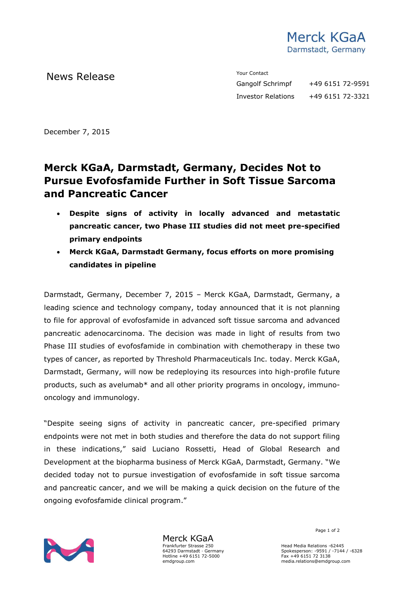

News Release The Contact Terms of the Means of the Means of the Vour Contact

Gangolf Schrimpf +49 6151 72-9591 Investor Relations +49 6151 72-3321

December 7, 2015

## **Merck KGaA, Darmstadt, Germany, Decides Not to Pursue Evofosfamide Further in Soft Tissue Sarcoma and Pancreatic Cancer**

- **Despite signs of activity in locally advanced and metastatic pancreatic cancer, two Phase III studies did not meet pre-specified primary endpoints**
- **Merck KGaA, Darmstadt Germany, focus efforts on more promising candidates in pipeline**

Darmstadt, Germany, December 7, 2015 – Merck KGaA, Darmstadt, Germany, a leading science and technology company, today announced that it is not planning to file for approval of evofosfamide in advanced soft tissue sarcoma and advanced pancreatic adenocarcinoma. The decision was made in light of results from two Phase III studies of evofosfamide in combination with chemotherapy in these two types of cancer, as reported by Threshold Pharmaceuticals Inc. today. Merck KGaA, Darmstadt, Germany, will now be redeploying its resources into high-profile future products, such as avelumab\* and all other priority programs in oncology, immunooncology and immunology.

"Despite seeing signs of activity in pancreatic cancer, pre-specified primary endpoints were not met in both studies and therefore the data do not support filing in these indications," said Luciano Rossetti, Head of Global Research and Development at the biopharma business of Merck KGaA, Darmstadt, Germany. "We decided today not to pursue investigation of evofosfamide in soft tissue sarcoma and pancreatic cancer, and we will be making a quick decision on the future of the ongoing evofosfamide clinical program."



Merck KGaA Frankfurter Strasse 250 64293 Darmstadt · Germany Hotline +49 6151 72-5000 emdgroup.com

Page 1 of 2

Head Media Relations -62445 Spokesperson: -9591 / -7144 / -6328 Fax +49 6151 72 3138 media.relations@emdgroup.com